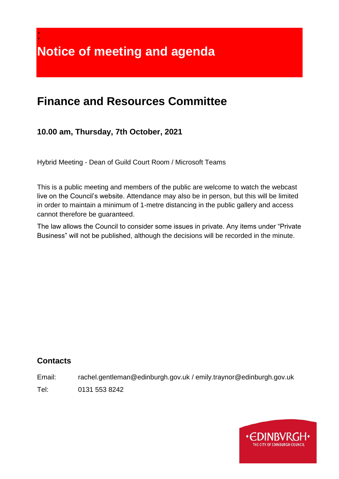**Notice of meeting and agenda**

# **Finance and Resources Committee**

## **10.00 am, Thursday, 7th October, 2021**

Hybrid Meeting - Dean of Guild Court Room / Microsoft Teams

This is a public meeting and members of the public are welcome to watch the webcast live on the Council's website. Attendance may also be in person, but this will be limited in order to maintain a minimum of 1-metre distancing in the public gallery and access cannot therefore be guaranteed.

The law allows the Council to consider some issues in private. Any items under "Private Business" will not be published, although the decisions will be recorded in the minute.

#### **Contacts**

:

Email: rachel.gentleman@edinburgh.gov.uk / emily.traynor@edinburgh.gov.uk

Tel: 0131 553 8242

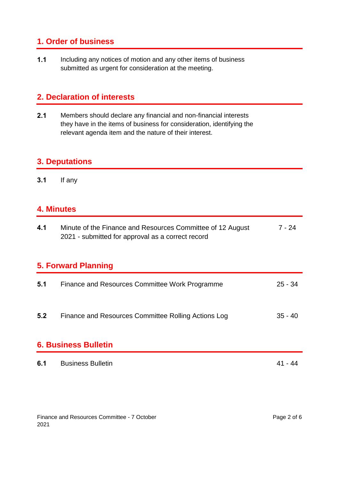## **1. Order of business**

**1.1** Including any notices of motion and any other items of business submitted as urgent for consideration at the meeting.

#### **2. Declaration of interests**

**2.1** Members should declare any financial and non-financial interests they have in the items of business for consideration, identifying the relevant agenda item and the nature of their interest.

## **3. Deputations**

**3.1** If any

#### **4. Minutes**

| 4.1                         | Minute of the Finance and Resources Committee of 12 August<br>2021 - submitted for approval as a correct record | 7 - 24    |  |  |
|-----------------------------|-----------------------------------------------------------------------------------------------------------------|-----------|--|--|
| 5. Forward Planning         |                                                                                                                 |           |  |  |
| 5.1                         | Finance and Resources Committee Work Programme                                                                  | $25 - 34$ |  |  |
| 5.2                         | Finance and Resources Committee Rolling Actions Log                                                             | $35 - 40$ |  |  |
| <b>6. Business Bulletin</b> |                                                                                                                 |           |  |  |
| 6.1                         | <b>Business Bulletin</b>                                                                                        |           |  |  |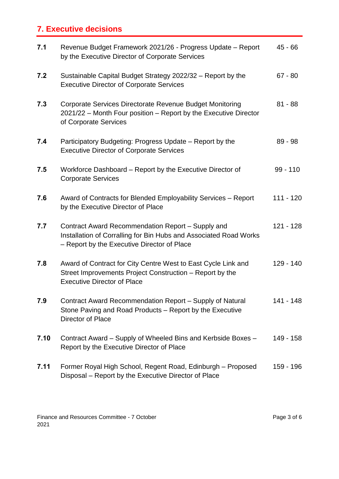## **7. Executive decisions**

| 7.1  | Revenue Budget Framework 2021/26 - Progress Update - Report<br>by the Executive Director of Corporate Services                                                        | $45 - 66$   |
|------|-----------------------------------------------------------------------------------------------------------------------------------------------------------------------|-------------|
| 7.2  | Sustainable Capital Budget Strategy 2022/32 - Report by the<br><b>Executive Director of Corporate Services</b>                                                        | $67 - 80$   |
| 7.3  | Corporate Services Directorate Revenue Budget Monitoring<br>2021/22 – Month Four position – Report by the Executive Director<br>of Corporate Services                 | $81 - 88$   |
| 7.4  | Participatory Budgeting: Progress Update – Report by the<br><b>Executive Director of Corporate Services</b>                                                           | $89 - 98$   |
| 7.5  | Workforce Dashboard – Report by the Executive Director of<br><b>Corporate Services</b>                                                                                | $99 - 110$  |
| 7.6  | Award of Contracts for Blended Employability Services - Report<br>by the Executive Director of Place                                                                  | $111 - 120$ |
| 7.7  | Contract Award Recommendation Report - Supply and<br>Installation of Corralling for Bin Hubs and Associated Road Works<br>- Report by the Executive Director of Place | $121 - 128$ |
| 7.8  | Award of Contract for City Centre West to East Cycle Link and<br>Street Improvements Project Construction - Report by the<br><b>Executive Director of Place</b>       | $129 - 140$ |
| 7.9  | Contract Award Recommendation Report – Supply of Natural<br>Stone Paving and Road Products – Report by the Executive<br>Director of Place                             | 141 - 148   |
| 7.10 | Contract Award – Supply of Wheeled Bins and Kerbside Boxes –<br>Report by the Executive Director of Place                                                             | 149 - 158   |
| 7.11 | Former Royal High School, Regent Road, Edinburgh - Proposed<br>Disposal - Report by the Executive Director of Place                                                   | 159 - 196   |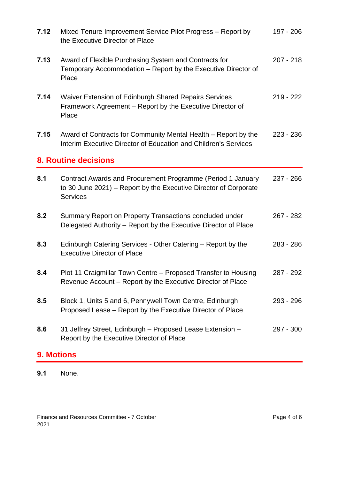| 7.12              | Mixed Tenure Improvement Service Pilot Progress – Report by<br>the Executive Director of Place                                                     | 197 - 206   |  |  |
|-------------------|----------------------------------------------------------------------------------------------------------------------------------------------------|-------------|--|--|
| 7.13              | Award of Flexible Purchasing System and Contracts for<br>Temporary Accommodation – Report by the Executive Director of<br>Place                    | $207 - 218$ |  |  |
| 7.14              | Waiver Extension of Edinburgh Shared Repairs Services<br>Framework Agreement – Report by the Executive Director of<br>Place                        | $219 - 222$ |  |  |
| 7.15              | Award of Contracts for Community Mental Health – Report by the<br>Interim Executive Director of Education and Children's Services                  | $223 - 236$ |  |  |
|                   | <b>8. Routine decisions</b>                                                                                                                        |             |  |  |
| 8.1               | Contract Awards and Procurement Programme (Period 1 January<br>to 30 June 2021) – Report by the Executive Director of Corporate<br><b>Services</b> | 237 - 266   |  |  |
| 8.2               | Summary Report on Property Transactions concluded under<br>Delegated Authority – Report by the Executive Director of Place                         | $267 - 282$ |  |  |
| 8.3               | Edinburgh Catering Services - Other Catering - Report by the<br><b>Executive Director of Place</b>                                                 | 283 - 286   |  |  |
| 8.4               | Plot 11 Craigmillar Town Centre - Proposed Transfer to Housing<br>Revenue Account – Report by the Executive Director of Place                      | 287 - 292   |  |  |
| 8.5               | Block 1, Units 5 and 6, Pennywell Town Centre, Edinburgh<br>Proposed Lease – Report by the Executive Director of Place                             | 293 - 296   |  |  |
| 8.6               | 31 Jeffrey Street, Edinburgh - Proposed Lease Extension -<br>Report by the Executive Director of Place                                             | 297 - 300   |  |  |
| <b>9. Motions</b> |                                                                                                                                                    |             |  |  |

**9.1** None.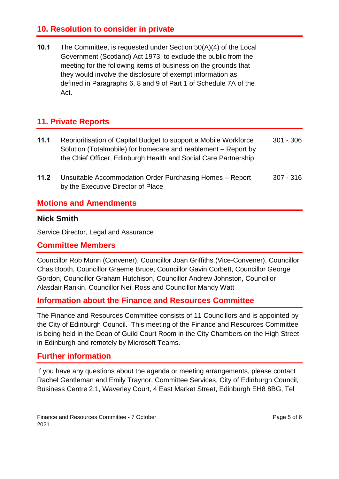#### **10. Resolution to consider in private**

**10.1** The Committee, is requested under Section 50(A)(4) of the Local Government (Scotland) Act 1973, to exclude the public from the meeting for the following items of business on the grounds that they would involve the disclosure of exempt information as defined in Paragraphs 6, 8 and 9 of Part 1 of Schedule 7A of the Act.

## **11. Private Reports**

- **11.1** Reprioritisation of Capital Budget to support a Mobile Workforce Solution (Totalmobile) for homecare and reablement – Report by the Chief Officer, Edinburgh Health and Social Care Partnership 301 - 306
- **11.2** Unsuitable Accommodation Order Purchasing Homes Report by the Executive Director of Place 307 - 316

#### **Motions and Amendments**

#### **Nick Smith**

Service Director, Legal and Assurance

#### **Committee Members**

Councillor Rob Munn (Convener), Councillor Joan Griffiths (Vice-Convener), Councillor Chas Booth, Councillor Graeme Bruce, Councillor Gavin Corbett, Councillor George Gordon, Councillor Graham Hutchison, Councillor Andrew Johnston, Councillor Alasdair Rankin, Councillor Neil Ross and Councillor Mandy Watt

#### **Information about the Finance and Resources Committee**

The Finance and Resources Committee consists of 11 Councillors and is appointed by the City of Edinburgh Council. This meeting of the Finance and Resources Committee is being held in the Dean of Guild Court Room in the City Chambers on the High Street in Edinburgh and remotely by Microsoft Teams.

#### **Further information**

If you have any questions about the agenda or meeting arrangements, please contact Rachel Gentleman and Emily Traynor, Committee Services, City of Edinburgh Council, Business Centre 2.1, Waverley Court, 4 East Market Street, Edinburgh EH8 8BG, Tel